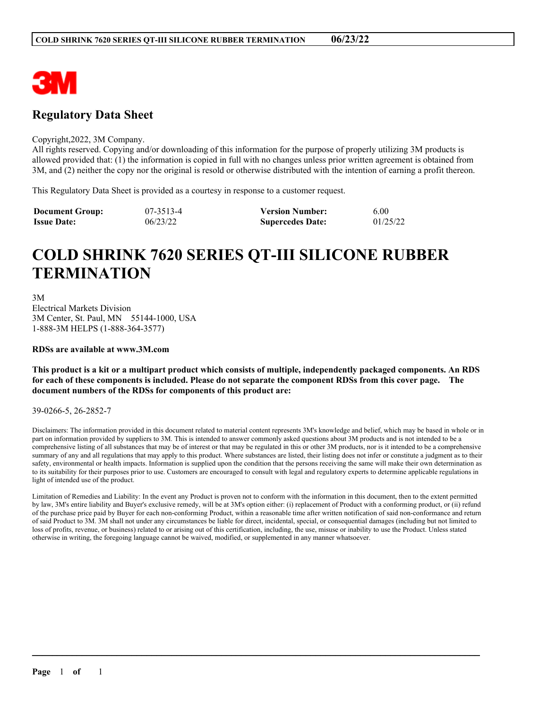

# **Regulatory Data Sheet**

#### Copyright,2022, 3M Company.

All rights reserved. Copying and/or downloading of this information for the purpose of properly utilizing 3M products is allowed provided that: (1) the information is copied in full with no changes unless prior written agreement is obtained from 3M, and (2) neither the copy nor the original is resold or otherwise distributed with the intention of earning a profit thereon.

This Regulatory Data Sheet is provided as a courtesy in response to a customer request.

| <b>Document Group:</b> | 07-3513-4 | <b>Version Number:</b>  | 6.00     |
|------------------------|-----------|-------------------------|----------|
| <b>Issue Date:</b>     | 06/23/22  | <b>Supercedes Date:</b> | 01/25/22 |

# **COLD SHRINK 7620 SERIES QT-III SILICONE RUBBER TERMINATION**

3M Electrical Markets Division 3M Center, St. Paul, MN 55144-1000, USA 1-888-3M HELPS (1-888-364-3577)

#### **RDSs are available at www.3M.com**

This product is a kit or a multipart product which consists of multiple, independently packaged components. An RDS for each of these components is included. Please do not separate the component RDSs from this cover page. The **document numbers of the RDSs for components of this product are:**

#### 39-0266-5, 26-2852-7

Disclaimers: The information provided in this document related to material content represents 3M's knowledge and belief, which may be based in whole or in part on information provided by suppliers to 3M. This is intended to answer commonly asked questions about 3M products and is not intended to be a comprehensive listing of all substances that may be of interest or that may be regulated in this or other 3M products, nor is it intended to be a comprehensive summary of any and all regulations that may apply to this product. Where substances are listed, their listing does not infer or constitute a judgment as to their safety, environmental or health impacts. Information is supplied upon the condition that the persons receiving the same will make their own determination as to its suitability for their purposes prior to use. Customers are encouraged to consult with legal and regulatory experts to determine applicable regulations in light of intended use of the product.

Limitation of Remedies and Liability: In the event any Product is proven not to conform with the information in this document, then to the extent permitted by law, 3M's entire liability and Buyer's exclusive remedy, will be at 3M's option either: (i) replacement of Product with a conforming product, or (ii) refund of the purchase price paid by Buyer for each non-conforming Product, within a reasonable time after written notification of said non-conformance and return of said Product to 3M. 3M shall not under any circumstances be liable for direct, incidental, special, or consequential damages (including but not limited to loss of profits, revenue, or business) related to or arising out of this certification, including, the use, misuse or inability to use the Product. Unless stated otherwise in writing, the foregoing language cannot be waived, modified, or supplemented in any manner whatsoever.

 $\mathcal{L}_\mathcal{L} = \mathcal{L}_\mathcal{L} = \mathcal{L}_\mathcal{L} = \mathcal{L}_\mathcal{L} = \mathcal{L}_\mathcal{L} = \mathcal{L}_\mathcal{L} = \mathcal{L}_\mathcal{L} = \mathcal{L}_\mathcal{L} = \mathcal{L}_\mathcal{L} = \mathcal{L}_\mathcal{L} = \mathcal{L}_\mathcal{L} = \mathcal{L}_\mathcal{L} = \mathcal{L}_\mathcal{L} = \mathcal{L}_\mathcal{L} = \mathcal{L}_\mathcal{L} = \mathcal{L}_\mathcal{L} = \mathcal{L}_\mathcal{L}$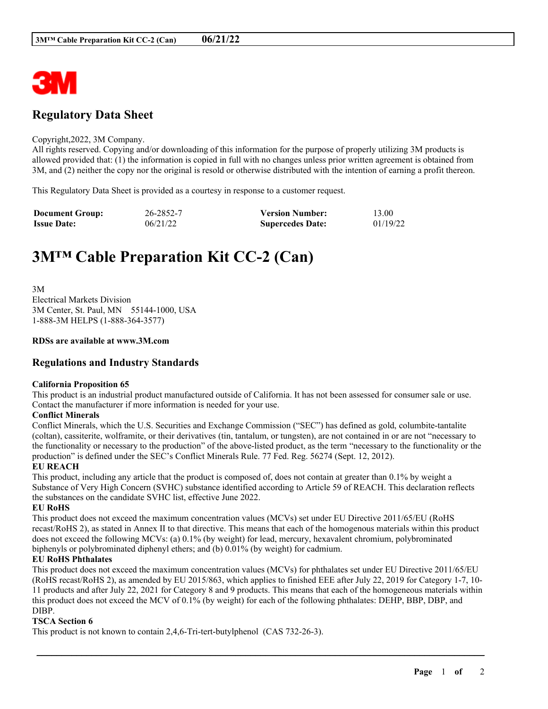

# **Regulatory Data Sheet**

#### Copyright,2022, 3M Company.

All rights reserved. Copying and/or downloading of this information for the purpose of properly utilizing 3M products is allowed provided that: (1) the information is copied in full with no changes unless prior written agreement is obtained from 3M, and (2) neither the copy nor the original is resold or otherwise distributed with the intention of earning a profit thereon.

This Regulatory Data Sheet is provided as a courtesy in response to a customer request.

| <b>Document Group:</b> | 26-2852-7 | <b>Version Number:</b>  | 13.00    |
|------------------------|-----------|-------------------------|----------|
| <b>Issue Date:</b>     | 06/21/22  | <b>Supercedes Date:</b> | 01/19/22 |

# **3M™ Cable Preparation Kit CC-2 (Can)**

3M Electrical Markets Division 3M Center, St. Paul, MN 55144-1000, USA 1-888-3M HELPS (1-888-364-3577)

#### **RDSs are available at www.3M.com**

## **Regulations and Industry Standards**

#### **California Proposition 65**

This product is an industrial product manufactured outside of California. It has not been assessed for consumer sale or use. Contact the manufacturer if more information is needed for your use.

#### **Conflict Minerals**

Conflict Minerals, which the U.S. Securities and Exchange Commission ("SEC") has defined as gold, columbite-tantalite (coltan), cassiterite, wolframite, or their derivatives (tin, tantalum, or tungsten), are not contained in or are not "necessary to the functionality or necessary to the production" of the above-listed product, as the term "necessary to the functionality or the production" is defined under the SEC's Conflict Minerals Rule. 77 Fed. Reg. 56274 (Sept. 12, 2012).

#### **EU REACH**

This product, including any article that the product is composed of, does not contain at greater than 0.1% by weight a Substance of Very High Concern (SVHC) substance identified according to Article 59 of REACH. This declaration reflects the substances on the candidate SVHC list, effective June 2022.

#### **EU RoHS**

This product does not exceed the maximum concentration values (MCVs) set under EU Directive 2011/65/EU (RoHS recast/RoHS 2), as stated in Annex II to that directive. This means that each of the homogenous materials within this product does not exceed the following MCVs: (a) 0.1% (by weight) for lead, mercury, hexavalent chromium, polybrominated biphenyls or polybrominated diphenyl ethers; and (b) 0.01% (by weight) for cadmium.

#### **EU RoHS Phthalates**

This product does not exceed the maximum concentration values (MCVs) for phthalates set under EU Directive 2011/65/EU (RoHS recast/RoHS 2), as amended by EU 2015/863, which applies to finished EEE after July 22, 2019 for Category 1-7, 10- 11 products and after July 22, 2021 for Category 8 and 9 products. This means that each of the homogeneous materials within this product does not exceed the MCV of 0.1% (by weight) for each of the following phthalates: DEHP, BBP, DBP, and DIBP.

\_\_\_\_\_\_\_\_\_\_\_\_\_\_\_\_\_\_\_\_\_\_\_\_\_\_\_\_\_\_\_\_\_\_\_\_\_\_\_\_\_\_\_\_\_\_\_\_\_\_\_\_\_\_\_\_\_\_\_\_\_\_\_\_\_\_\_\_\_\_\_\_\_\_\_\_\_\_\_\_\_\_\_\_\_\_\_\_\_\_

#### **TSCA Section 6**

This product is not known to contain 2,4,6-Tri-tert-butylphenol (CAS 732-26-3).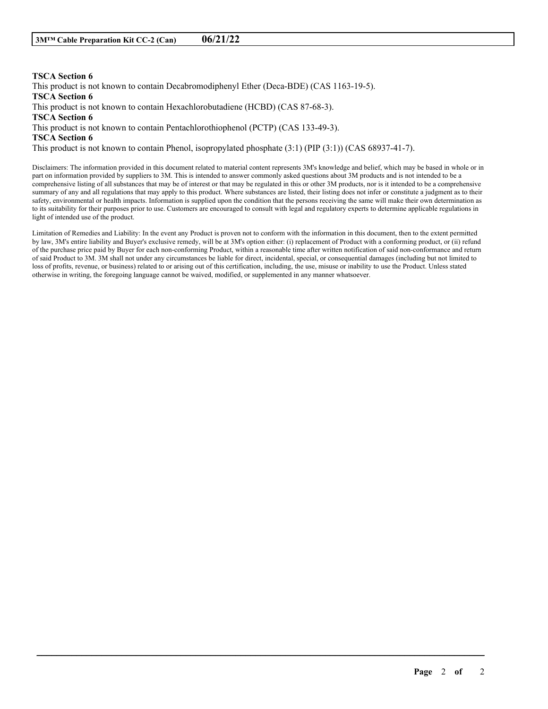### **TSCA Section 6**

This product is not known to contain Decabromodiphenyl Ether (Deca-BDE) (CAS 1163-19-5).

**TSCA Section 6**

This product is not known to contain Hexachlorobutadiene (HCBD) (CAS 87-68-3).

**TSCA Section 6**

This product is not known to contain Pentachlorothiophenol (PCTP) (CAS 133-49-3).

**TSCA Section 6**

This product is not known to contain Phenol, isopropylated phosphate (3:1) (PIP (3:1)) (CAS 68937-41-7).

Disclaimers: The information provided in this document related to material content represents 3M's knowledge and belief, which may be based in whole or in part on information provided by suppliers to 3M. This is intended to answer commonly asked questions about 3M products and is not intended to be a comprehensive listing of all substances that may be of interest or that may be regulated in this or other 3M products, nor is it intended to be a comprehensive summary of any and all regulations that may apply to this product. Where substances are listed, their listing does not infer or constitute a judgment as to their safety, environmental or health impacts. Information is supplied upon the condition that the persons receiving the same will make their own determination as to its suitability for their purposes prior to use. Customers are encouraged to consult with legal and regulatory experts to determine applicable regulations in light of intended use of the product.

Limitation of Remedies and Liability: In the event any Product is proven not to conform with the information in this document, then to the extent permitted by law, 3M's entire liability and Buyer's exclusive remedy, will be at 3M's option either: (i) replacement of Product with a conforming product, or (ii) refund of the purchase price paid by Buyer for each non-conforming Product, within a reasonable time after written notification of said non-conformance and return of said Product to 3M. 3M shall not under any circumstances be liable for direct, incidental, special, or consequential damages (including but not limited to loss of profits, revenue, or business) related to or arising out of this certification, including, the use, misuse or inability to use the Product. Unless stated otherwise in writing, the foregoing language cannot be waived, modified, or supplemented in any manner whatsoever.

\_\_\_\_\_\_\_\_\_\_\_\_\_\_\_\_\_\_\_\_\_\_\_\_\_\_\_\_\_\_\_\_\_\_\_\_\_\_\_\_\_\_\_\_\_\_\_\_\_\_\_\_\_\_\_\_\_\_\_\_\_\_\_\_\_\_\_\_\_\_\_\_\_\_\_\_\_\_\_\_\_\_\_\_\_\_\_\_\_\_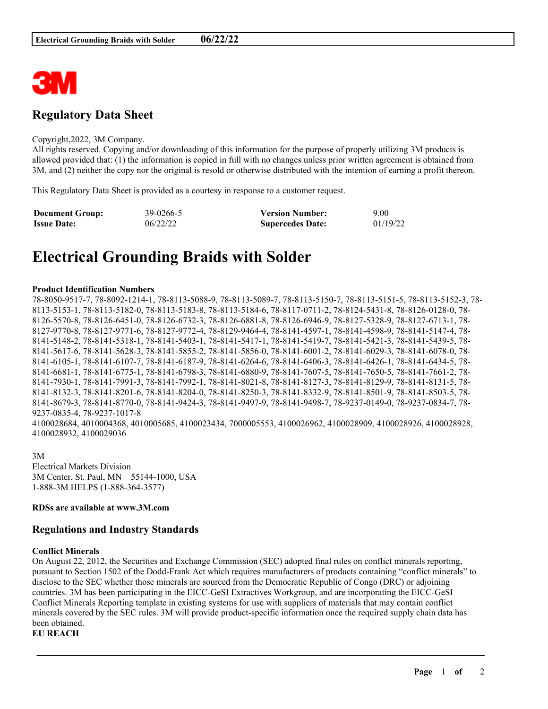

# **Regulatory Data Sheet**

#### Copyright,2022, 3M Company.

All rights reserved. Copying and/or downloading of this information for the purpose of properly utilizing 3M products is allowed provided that: (1) the information is copied in full with no changes unless prior written agreement is obtained from 3M, and (2) neither the copy nor the original is resold or otherwise distributed with the intention of earning a profit thereon.

This Regulatory Data Sheet is provided as a courtesy in response to a customer request.

| <b>Document Group:</b> | 39-0266-5 | <b>Version Number:</b>  | 9.00     |
|------------------------|-----------|-------------------------|----------|
| <b>Issue Date:</b>     | 06/22/22  | <b>Supercedes Date:</b> | 01/19/22 |

# **Electrical Grounding Braids with Solder**

#### **Product Identification Numbers**

78-8050-9517-7, 78-8092-1214-1, 78-8113-5088-9, 78-8113-5089-7, 78-8113-5150-7, 78-8113-5151-5, 78-8113-5152-3, 78- 8113-5153-1, 78-8113-5182-0, 78-8113-5183-8, 78-8113-5184-6, 78-8117-0711-2, 78-8124-5431-8, 78-8126-0128-0, 78- 8126-5570-8, 78-8126-6451-0, 78-8126-6732-3, 78-8126-6881-8, 78-8126-6946-9, 78-8127-5328-9, 78-8127-6713-1, 78- 8127-9770-8, 78-8127-9771-6, 78-8127-9772-4, 78-8129-9464-4, 78-8141-4597-1, 78-8141-4598-9, 78-8141-5147-4, 78- 8141-5148-2, 78-8141-5318-1, 78-8141-5403-1, 78-8141-5417-1, 78-8141-5419-7, 78-8141-5421-3, 78-8141-5439-5, 78- 8141-5617-6, 78-8141-5628-3, 78-8141-5855-2, 78-8141-5856-0, 78-8141-6001-2, 78-8141-6029-3, 78-8141-6078-0, 78- 8141-6105-1, 78-8141-6107-7, 78-8141-6187-9, 78-8141-6264-6, 78-8141-6406-3, 78-8141-6426-1, 78-8141-6434-5, 78- 8141-6681-1, 78-8141-6775-1, 78-8141-6798-3, 78-8141-6880-9, 78-8141-7607-5, 78-8141-7650-5, 78-8141-7661-2, 78- 8141-7930-1, 78-8141-7991-3, 78-8141-7992-1, 78-8141-8021-8, 78-8141-8127-3, 78-8141-8129-9, 78-8141-8131-5, 78- 8141-8132-3, 78-8141-8201-6, 78-8141-8204-0, 78-8141-8250-3, 78-8141-8332-9, 78-8141-8501-9, 78-8141-8503-5, 78- 8141-8679-3, 78-8141-8770-0, 78-8141-9424-3, 78-8141-9497-9, 78-8141-9498-7, 78-9237-0149-0, 78-9237-0834-7, 78- 9237-0835-4, 78-9237-1017-8 4100028684, 4010004368, 4010005685, 4100023434, 7000005553, 4100026962, 4100028909, 4100028926, 4100028928, 4100028932, 4100029036

3M Electrical Markets Division 3M Center, St. Paul, MN 55144-1000, USA 1-888-3M HELPS (1-888-364-3577)

#### **RDSs are available at www.3M.com**

## **Regulations and Industry Standards**

#### **Conflict Minerals**

On August 22, 2012, the Securities and Exchange Commission (SEC) adopted final rules on conflict minerals reporting, pursuant to Section 1502 of the Dodd-Frank Act which requires manufacturers of products containing "conflict minerals" to disclose to the SEC whether those minerals are sourced from the Democratic Republic of Congo (DRC) or adjoining countries. 3M has been participating in the EICC-GeSI Extractives Workgroup, and are incorporating the EICC-GeSI Conflict Minerals Reporting template in existing systems for use with suppliers of materials that may contain conflict minerals covered by the SEC rules. 3M will provide product-specific information once the required supply chain data has been obtained.

\_\_\_\_\_\_\_\_\_\_\_\_\_\_\_\_\_\_\_\_\_\_\_\_\_\_\_\_\_\_\_\_\_\_\_\_\_\_\_\_\_\_\_\_\_\_\_\_\_\_\_\_\_\_\_\_\_\_\_\_\_\_\_\_\_\_\_\_\_\_\_\_\_\_\_\_\_\_\_\_\_\_\_\_\_\_\_\_\_\_

**EU REACH**